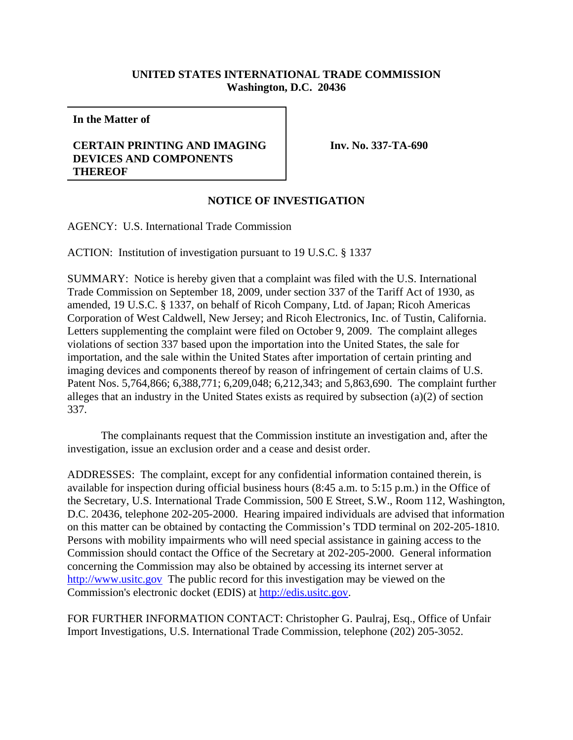## **UNITED STATES INTERNATIONAL TRADE COMMISSION Washington, D.C. 20436**

**In the Matter of**

## **CERTAIN PRINTING AND IMAGING DEVICES AND COMPONENTS THEREOF**

**Inv. No. 337-TA-690**

## **NOTICE OF INVESTIGATION**

AGENCY: U.S. International Trade Commission

ACTION: Institution of investigation pursuant to 19 U.S.C. § 1337

SUMMARY: Notice is hereby given that a complaint was filed with the U.S. International Trade Commission on September 18, 2009, under section 337 of the Tariff Act of 1930, as amended, 19 U.S.C. § 1337, on behalf of Ricoh Company, Ltd. of Japan; Ricoh Americas Corporation of West Caldwell, New Jersey; and Ricoh Electronics, Inc. of Tustin, California. Letters supplementing the complaint were filed on October 9, 2009. The complaint alleges violations of section 337 based upon the importation into the United States, the sale for importation, and the sale within the United States after importation of certain printing and imaging devices and components thereof by reason of infringement of certain claims of U.S. Patent Nos. 5,764,866; 6,388,771; 6,209,048; 6,212,343; and 5,863,690. The complaint further alleges that an industry in the United States exists as required by subsection (a)(2) of section 337.

The complainants request that the Commission institute an investigation and, after the investigation, issue an exclusion order and a cease and desist order.

ADDRESSES: The complaint, except for any confidential information contained therein, is available for inspection during official business hours (8:45 a.m. to 5:15 p.m.) in the Office of the Secretary, U.S. International Trade Commission, 500 E Street, S.W., Room 112, Washington, D.C. 20436, telephone 202-205-2000. Hearing impaired individuals are advised that information on this matter can be obtained by contacting the Commission's TDD terminal on 202-205-1810. Persons with mobility impairments who will need special assistance in gaining access to the Commission should contact the Office of the Secretary at 202-205-2000. General information concerning the Commission may also be obtained by accessing its internet server at http://www.usitc.gov The public record for this investigation may be viewed on the Commission's electronic docket (EDIS) at http://edis.usitc.gov.

FOR FURTHER INFORMATION CONTACT: Christopher G. Paulraj, Esq., Office of Unfair Import Investigations, U.S. International Trade Commission, telephone (202) 205-3052.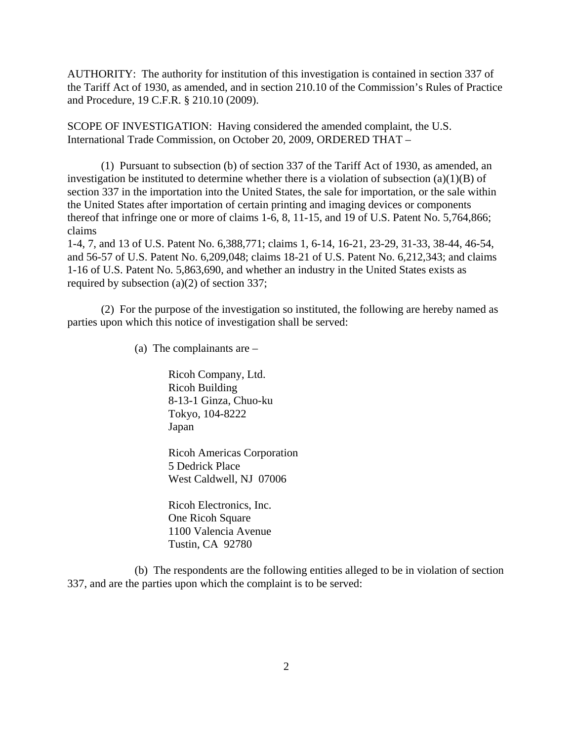AUTHORITY: The authority for institution of this investigation is contained in section 337 of the Tariff Act of 1930, as amended, and in section 210.10 of the Commission's Rules of Practice and Procedure, 19 C.F.R. § 210.10 (2009).

SCOPE OF INVESTIGATION: Having considered the amended complaint, the U.S. International Trade Commission, on October 20, 2009, ORDERED THAT –

(1) Pursuant to subsection (b) of section 337 of the Tariff Act of 1930, as amended, an investigation be instituted to determine whether there is a violation of subsection  $(a)(1)(B)$  of section 337 in the importation into the United States, the sale for importation, or the sale within the United States after importation of certain printing and imaging devices or components thereof that infringe one or more of claims 1-6, 8, 11-15, and 19 of U.S. Patent No. 5,764,866; claims

1-4, 7, and 13 of U.S. Patent No. 6,388,771; claims 1, 6-14, 16-21, 23-29, 31-33, 38-44, 46-54, and 56-57 of U.S. Patent No. 6,209,048; claims 18-21 of U.S. Patent No. 6,212,343; and claims 1-16 of U.S. Patent No. 5,863,690, and whether an industry in the United States exists as required by subsection (a)(2) of section 337;

(2) For the purpose of the investigation so instituted, the following are hereby named as parties upon which this notice of investigation shall be served:

(a) The complainants are –

Ricoh Company, Ltd. Ricoh Building 8-13-1 Ginza, Chuo-ku Tokyo, 104-8222 Japan

Ricoh Americas Corporation 5 Dedrick Place West Caldwell, NJ 07006

Ricoh Electronics, Inc. One Ricoh Square 1100 Valencia Avenue Tustin, CA 92780

(b) The respondents are the following entities alleged to be in violation of section 337, and are the parties upon which the complaint is to be served: